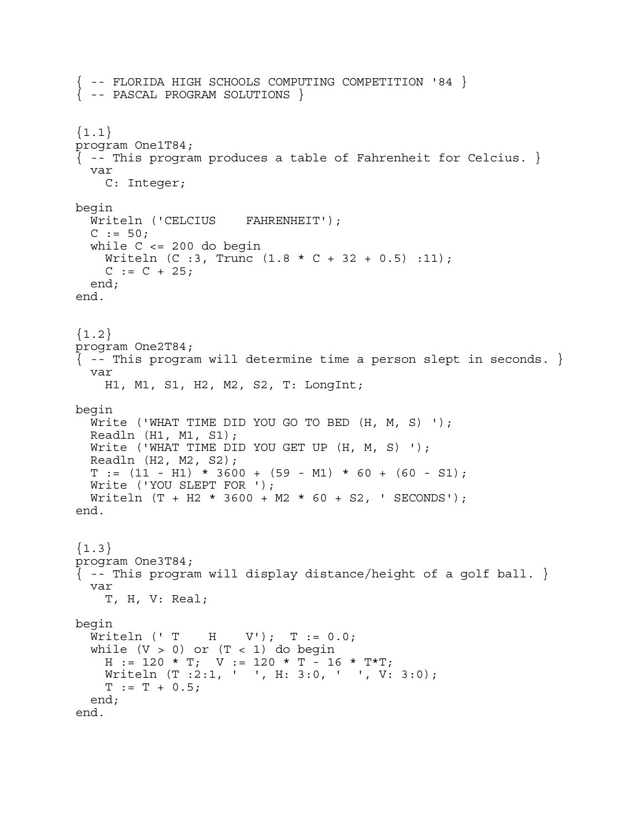{ -- FLORIDA HIGH SCHOOLS COMPUTING COMPETITION '84 }  $\{$  -- PASCAL PROGRAM SOLUTIONS  $\}$ Ĩ.  ${1.1}$ program One1T84;  $\{-$ - This program produces a table of Fahrenheit for Celcius.  $\}$  var C: Integer; begin Writeln ('CELCIUS FAHRENHEIT');  $C := 50;$ while  $C \leq 200$  do begin Writeln  $(C : 3,$  Trunc  $(1.8 * C + 32 + 0.5) : 11);$  $C := C + 25;$  end; end.  ${1.2}$ program One2T84;  $\{ - -$  This program will determine time a person slept in seconds.  $\}$  var H1, M1, S1, H2, M2, S2, T: LongInt; begin Write ('WHAT TIME DID YOU GO TO BED (H, M, S) '); Readln (H1, M1, S1); Write ('WHAT TIME DID YOU GET UP (H, M, S) '); Readln (H2, M2, S2);  $T := (11 - H1) * 3600 + (59 - M1) * 60 + (60 - S1);$  Write ('YOU SLEPT FOR '); Writeln (T + H2 \* 3600 + M2 \* 60 + S2, ' SECONDS'); end.  ${1.3}$ program One3T84;  $\{-$ - This program will display distance/height of a golf ball.  $\}$  var T, H, V: Real; begin Writeln (' T H V');  $T := 0.0$ ; while  $(V > 0)$  or  $(T < 1)$  do begin  $H := 120 * T$ ;  $V := 120 * T - 16 * T$ Writeln (T :2:1, ' ', H: 3:0, ' ', V: 3:0);  $T := T + 0.5;$  end; end.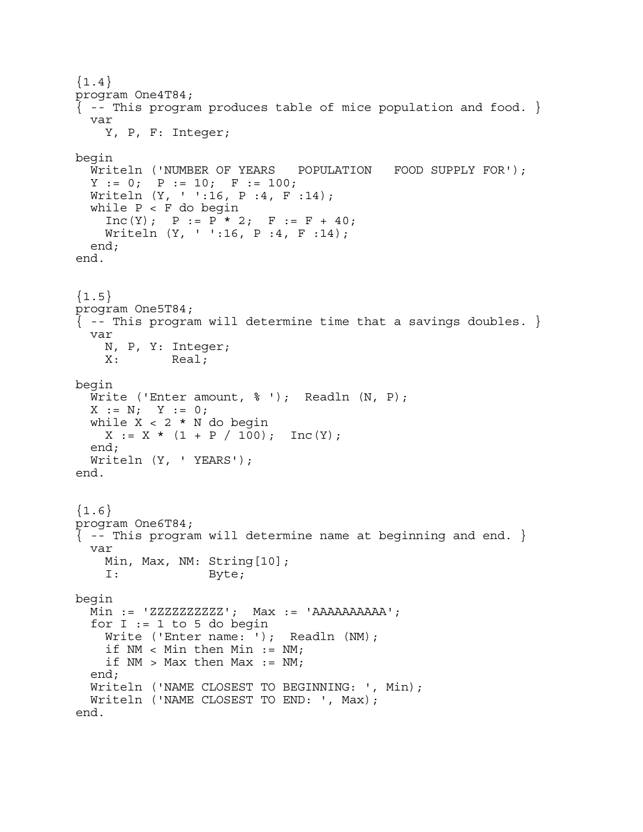${1.4}$ program One4T84;  $\{$  -- This program produces table of mice population and food.  $\}$  var Y, P, F: Integer; begin Writeln ('NUMBER OF YEARS POPULATION FOOD SUPPLY FOR');  $Y := 0; P := 10; F := 100;$  Writeln (Y, ' ':16, P :4, F :14); while  $P < F$  do begin  $Inc(Y); P := P * 2; F := F + 40;$  Writeln (Y, ' ':16, P :4, F :14); end; end.  ${1.5}$ program One5T84;  $\{-$ - This program will determine time that a savings doubles.  $\}$  var N, P, Y: Integer; X: Real; begin Write ('Enter amount,  $\frac{1}{2}$  '); Readln (N, P);  $X := N; Y := 0;$ while  $X < 2 * N$  do begin  $X := X * (1 + P / 100)$ ; Inc(Y); end; Writeln (Y, ' YEARS'); end.  ${1.6}$ program One6T84;  $\{ - -$  This program will determine name at beginning and end.  $\}$  var Min, Max, NM: String[10]; I: Byte; begin  $Min := 'ZZZZZZZZZ'$ ;  $Max := 'AAAAAAAAA'$ ; for  $I := 1$  to 5 do begin Write ('Enter name: '); Readln (NM); if  $NM < Min$  then Min :=  $NM$ ; if  $NM$  > Max then Max :=  $NM$ ; end; Writeln ('NAME CLOSEST TO BEGINNING: ', Min); Writeln ('NAME CLOSEST TO END: ', Max); end.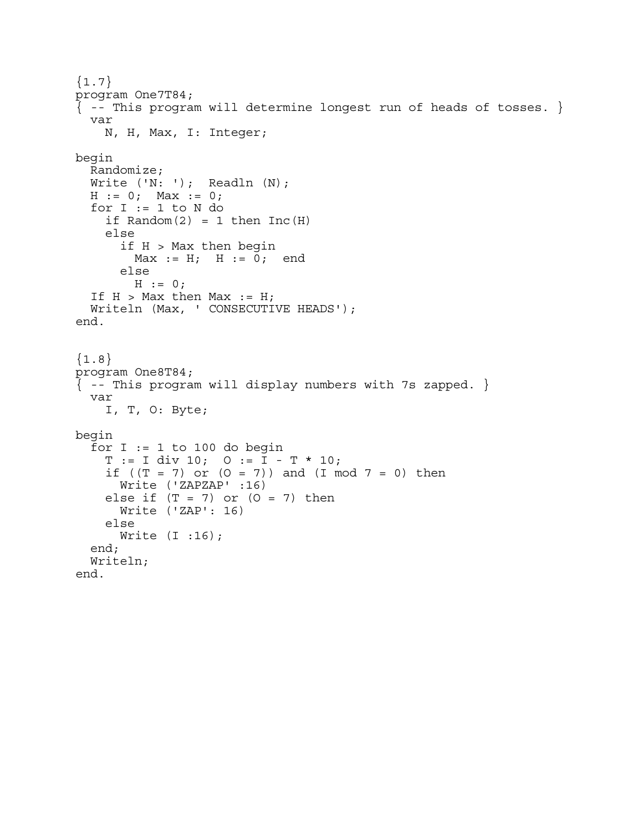```
{1.7}program One7T84; 
\{-- This program will determine longest run of heads of tosses. \} var 
    N, H, Max, I: Integer; 
begin 
   Randomize; 
 Write ('N: '); Readln (N);
 H := 0; Max := 0;for I := 1 to N do
    if Random(2) = 1 then Inc(H) else 
      if H > Max then begin
        Max := H; H := 0; end
       else 
        H := 0;If H > Max then Max := H;
   Writeln (Max, ' CONSECUTIVE HEADS'); 
end. 
{1.8}program One8T84; 
{ -- This program will display numbers with 7s zapped. } 
   var 
     I, T, O: Byte; 
begin 
  for I := 1 to 100 do begin
    T := I div 10; 0 := I - T * 10;if ((T = 7) or (0 = 7) and (T \mod 7 = 0) then
       Write ('ZAPZAP' :16) 
    else if (T = 7) or (0 = 7) then
       Write ('ZAP': 16) 
     else 
       Write (I :16); 
   end; 
   Writeln; 
end.
```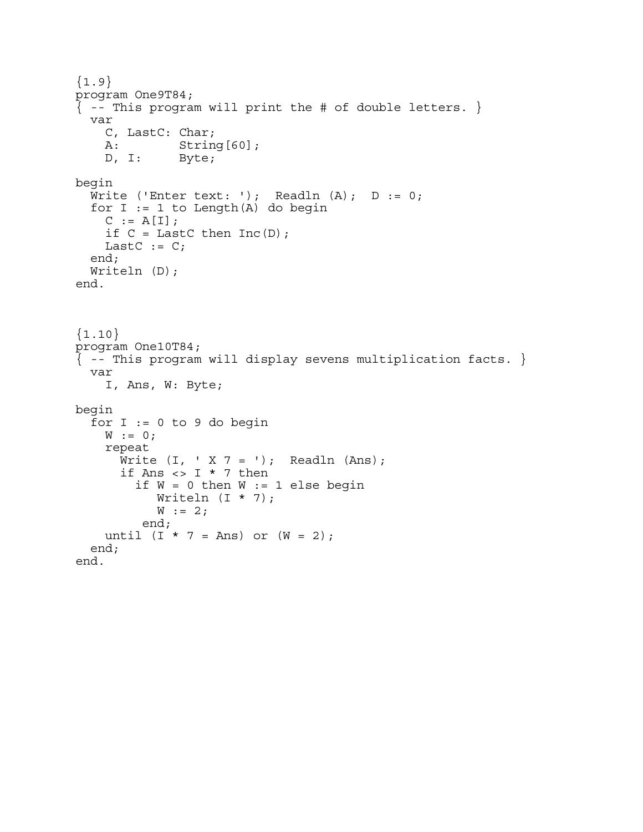```
{1.9}program One9T84; 
{ -- This program will print the # of double letters. } 
   var 
    C, LastC: Char;<br>A: Strin
              String[60];
     D, I: Byte; 
begin 
  Write ('Enter text: '); Readln (A); D := 0;
  for I := 1 to Length(A) do begin
    C := A[I];if C = LastC then Inc(D);
    LastC := C; end; 
  Writeln (D);
end. 
{1.10}program One10T84; 
{ -- This program will display sevens multiplication facts. } 
   var 
     I, Ans, W: Byte; 
begin 
  for I := 0 to 9 do begin
    W := 0; repeat 
      Write (I, Y, Z = '); Readln (Ans);if Ans \lt> I * 7 then
        if W = 0 then W := 1 else begin
            Writeln (I * 7); 
           W := 2; end; 
    until (I * 7 = Ans) or (W = 2);
   end; 
end.
```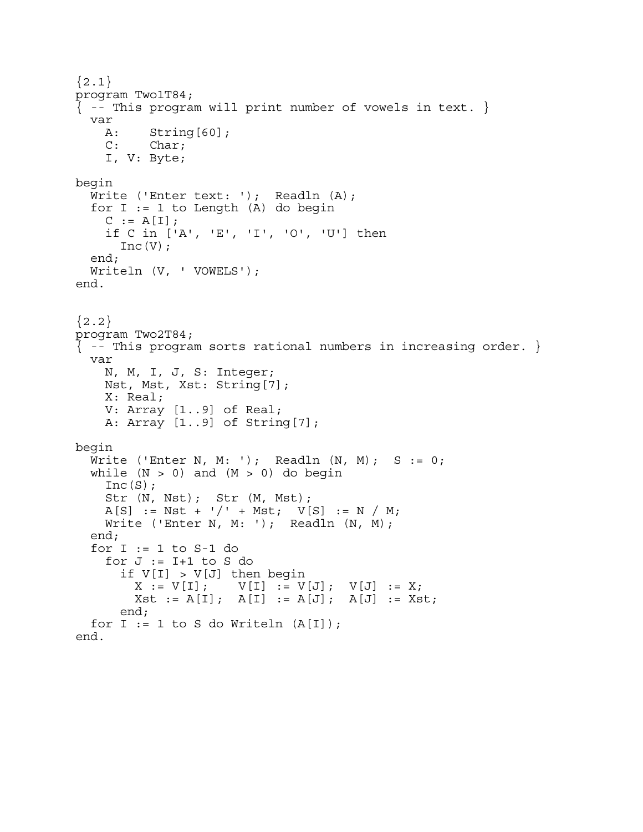```
{2.1}program Two1T84; 
\{ - - This program will print number of vowels in text. \} var 
     A: String[60]; 
     C: Char; 
     I, V: Byte; 
begin 
  Write ('Enter text: '); Readln (A);
  for I := 1 to Length (A) do begin
    C := A[I]; if C in ['A', 'E', 'I', 'O', 'U'] then 
      Inc(V); end; 
   Writeln (V, ' VOWELS'); 
end. 
{2.2}program Two2T84; 
\{ - - This program sorts rational numbers in increasing order. \} var 
     N, M, I, J, S: Integer; 
     Nst, Mst, Xst: String[7]; 
     X: Real; 
     V: Array [1..9] of Real; 
     A: Array [1..9] of String[7]; 
begin 
  Write ('Enter N, M: '); Readln (N, M); S := 0;
  while (N > 0) and (M > 0) do begin
    Inc(S);
 Str (N, Nst); Str (M, Mst); 
A[S] := Nst + '/' + Mst; V[S] := N / M;
    Write ('Enter N, M: '); Readln (N, M);
   end; 
  for I := 1 to S-1 do
    for J := I + 1 to S do
      if V[I] > V[J] then begin<br>X := V[I]; V[I] := VV[I] := V[J]; \quad V[J] := X;Xst := A[I]; A[I] := A[J]; A[J] := Xst; end; 
  for I := 1 to S do Writeln (A[I]);
end.
```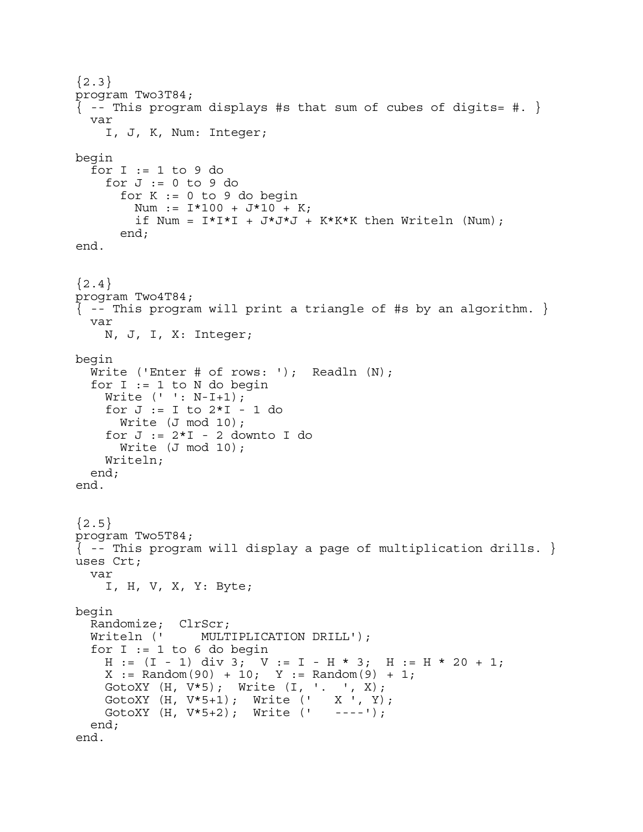```
{2.3}program Two3T84; 
\{ - - This program displays #s that sum of cubes of digits= #. \} var 
     I, J, K, Num: Integer; 
begin 
  for I := 1 to 9 do
    for J := 0 to 9 do
      for K := 0 to 9 do begin
        Num := I*100 + J*10 + K;
         if Num = I^*I^*I + J^*J^*J + K^*K^*K then Writeln (Num);
       end; 
end. 
{2.4}program Two4T84; 
\{ - - This program will print a triangle of #s by an algorithm. \} var 
     N, J, I, X: Integer; 
begin 
  Write ('Enter # of rows: '); Readln (N);
  for I := 1 to N do begin
     Write (' ': N-I+1); 
    for J := I to 2 \times I - 1 do
       Write (J mod 10); 
    for J := 2 \times I - 2 downto I do
      Write (J mod 10);
     Writeln; 
   end; 
end. 
{2.5}program Two5T84; 
\{ -- This program will display a page of multiplication drills. \}uses Crt; 
   var 
     I, H, V, X, Y: Byte; 
begin 
   Randomize; ClrScr; 
   Writeln (' MULTIPLICATION DRILL'); 
  for I := 1 to 6 do begin
    H := (I - 1) div 3; V := I - H * 3; H := H * 20 + 1;
    X := \text{Random}(90) + 10; \quad Y := \text{Random}(9) + 1;GotoXY (H, V*5); Write (I, '. ', X);<br>GotoXY (H, V*5+1); Write (' X ', Y)
 GotoXY (H, V*5+1); Write (' X ', Y); 
 GotoXY (H, V*5+2); Write (' ----'); 
   end; 
end.
```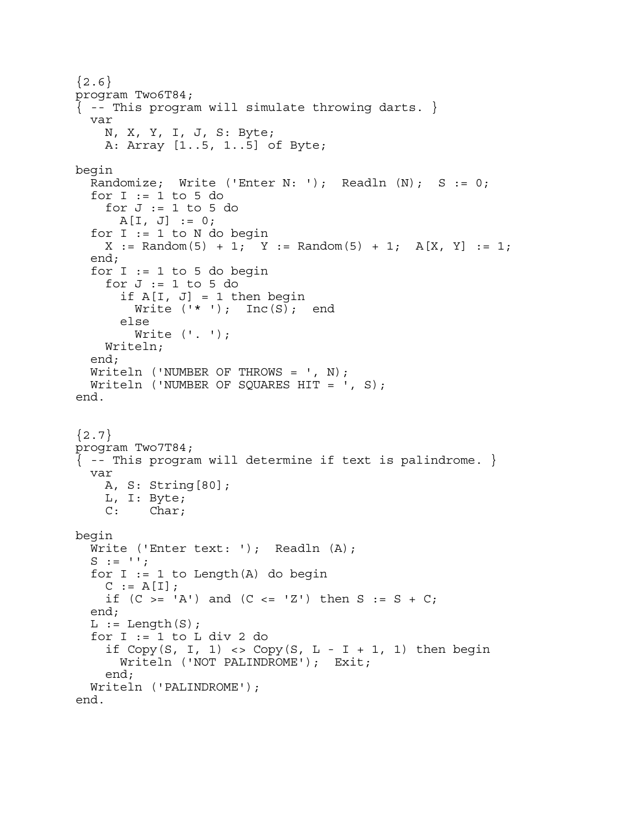${2.6}$ program Two6T84;  $\{$  -- This program will simulate throwing darts.  $\{$  var N, X, Y, I, J, S: Byte; A: Array [1..5, 1..5] of Byte; begin Randomize; Write ('Enter N: '); Readln  $(N)$ ; S := 0; for  $I := 1$  to 5 do for  $J := 1$  to 5 do  $A[I, J] := 0;$ for  $I := 1$  to  $N$  do begin  $X := \text{Random}(5) + 1; Y := \text{Random}(5) + 1; A[X, Y] := 1;$  end; for  $I := 1$  to 5 do begin for  $J := 1$  to 5 do if  $A[I, J] = 1$  then begin Write  $('*')$ ; Inc(S); end else Write  $( ' . ' )$ ; Writeln; end; Writeln ('NUMBER OF THROWS =  $', N$ ); Writeln ('NUMBER OF SQUARES HIT =  $', S$ ); end.  ${2.7}$ program Two7T84; { -- This program will determine if text is palindrome. } var A, S: String[80]; L, I: Byte; C: Char; begin Write ('Enter text: '); Readln (A);  $S := '':$ for  $I := 1$  to Length $(A)$  do begin  $C := A[I];$ if  $(C \gt = 'A')$  and  $(C \lt = 'Z')$  then  $S := S + C$ ; end;  $L := Length(S);$ for  $I := 1$  to  $L$  div  $2$  do if  $Copy(S, I, 1) \Leftrightarrow Copy(S, L - I + 1, 1)$  then begin Writeln ('NOT PALINDROME'); Exit; end; Writeln ('PALINDROME'); end.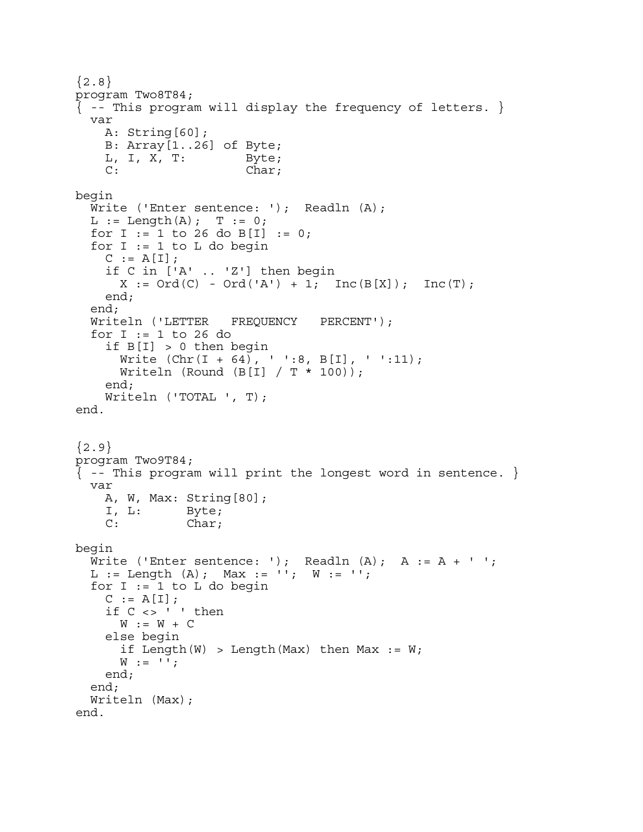```
{2.8}program Two8T84; 
\{ -- This program will display the frequency of letters. \} var 
     A: String[60]; 
     B: Array[1..26] of Byte; 
    L, I, X, T: Byte;
    C: Char;
begin 
  Write ('Enter sentence: '); Readln (A);
  L := Length(A); T := 0;for I := 1 to 26 do B[I] := 0;
  for I := 1 to L do begin
    C := A[I]; if C in ['A' .. 'Z'] then begin 
      X := \text{Ord}(C) - \text{Ord}'(A') + 1; \text{ Inc}(B[X]); \text{ Inc}(T); end; 
   end; 
   Writeln ('LETTER FREQUENCY PERCENT'); 
   for I := 1 to 26 do 
     if B[I] > 0 then begin 
      Write (Chr(I + 64), '': 8, B[I], '': 11);Writeln (Round (B[I] / T * 100));
     end; 
     Writeln ('TOTAL ', T); 
end. 
{2.9}program Two9T84; 
{ -- This program will print the longest word in sentence. } 
   var 
     A, W, Max: String[80]; 
     I, L: Byte; 
    C: Char;
begin 
  Write ('Enter sentence: '); Readln (A); A := A + ' ';
  L := Length (A); Max := ''; W := '';for I := 1 to L do begin
    C := A[I];if C \leq 1 ' then
      W := W + C else begin 
      if Length(W) > Length(Max) then Max := W;W := '': end; 
   end; 
   Writeln (Max); 
end.
```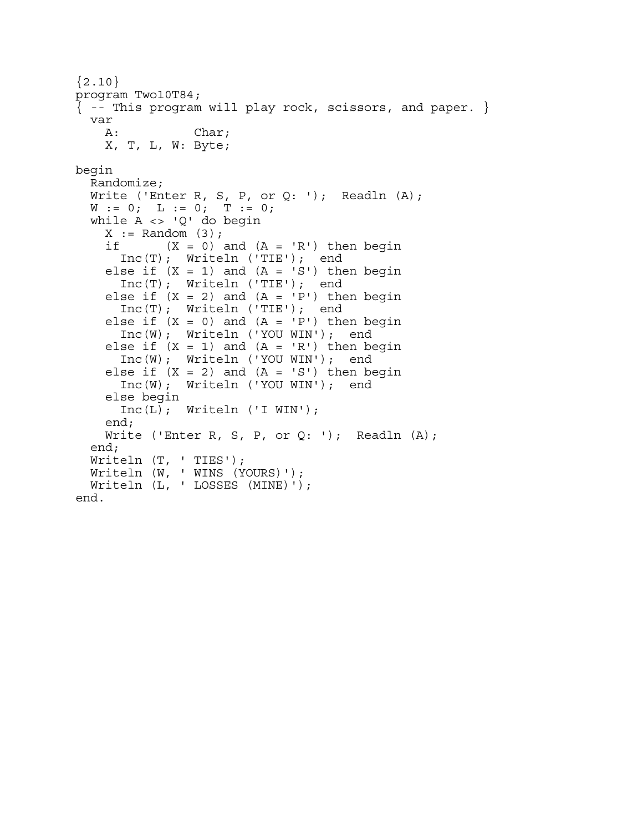```
{2.10}program Two10T84; 
\{ -- This program will play rock, scissors, and paper. \} var 
    A: Char;
     X, T, L, W: Byte; 
begin 
   Randomize; 
  Write ('Enter R, S, P, or Q: '); Readln (A);
  W := 0; L := 0; T := 0; while A <> 'Q' do begin 
    X := Random (3);
    if (X = 0) and (A = 'R') then begin
       Inc(T); Writeln ('TIE'); end 
    else if (X = 1) and (A = 'S') then begin
       Inc(T); Writeln ('TIE'); end 
    else if (X = 2) and (A = 'P') then begin
       Inc(T); Writeln ('TIE'); end 
    else if (X = 0) and (A = 'P') then begin
       Inc(W); Writeln ('YOU WIN'); end 
    else if (X = 1) and (A = 'R') then begin
       Inc(W); Writeln ('YOU WIN'); end 
    else if (X = 2) and (A = 'S') then begin
       Inc(W); Writeln ('YOU WIN'); end 
     else begin 
       Inc(L); Writeln ('I WIN'); 
     end; 
    Write ('Enter R, S, P, or Q: '); Readln (A);
   end; 
   Writeln (T, ' TIES'); 
  Writeln (W, ' WINS (YOURS)');
   Writeln (L, ' LOSSES (MINE)'); 
end.
```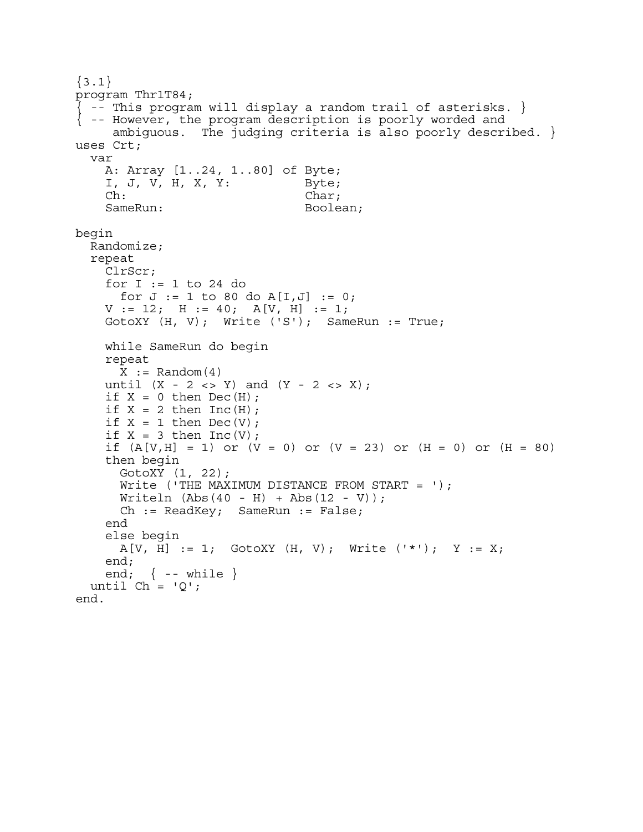```
\{3.1\}program Thr1T84; 
\vert -- This program will display a random trail of asterisks. \vert{ -- However, the program description is poorly worded and 
      ambiguous. The judging criteria is also poorly described. } 
uses Crt; 
   var 
     A: Array [1..24, 1..80] of Byte; 
     I, J, V, H, X, Y: Byte; 
     Ch: Char; 
    SameRun: Boolean;
begin 
   Randomize; 
   repeat 
     ClrScr; 
     for I := 1 to 24 do 
     for J := 1 to 80 do A[I,J] := 0;
    V := 12; H := 40; A[V, H] := 1;
     GotoXY (H, V); Write ('S'); SameRun := True; 
     while SameRun do begin 
     repeat 
      X := \text{Random}(4)until (X - 2 \iff Y) and (Y - 2 \iff X);
    if X = 0 then Dec(H);
    if X = 2 then Inc(H);
    if X = 1 then Dec(V);
    if X = 3 then Inc(V);
    if (A[V,H] = 1) or (V = 0) or (V = 23) or (H = 0) or (H = 80) then begin 
       GotoXY (1, 22); 
      Write ('THE MAXIMUM DISTANCE FROM START = \prime);
      Writeln (Abs(40 - H) + Abs(12 - V)); Ch := ReadKey; SameRun := False; 
     end 
     else begin 
      A[V, H] := 1; GotoXY (H, V); Write ('*); Y := X;
     end; 
    end; \{ - - while \}until Ch = 'Q';end.
```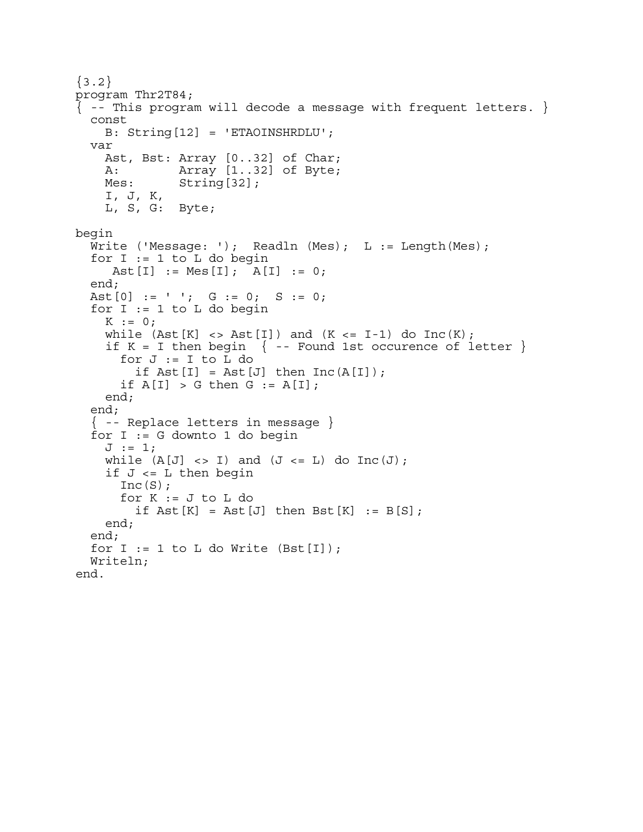```
\{3.2\}program Thr2T84; 
\{ -- This program will decode a message with frequent letters. \} const 
     B: String[12] = 'ETAOINSHRDLU'; 
   var 
     Ast, Bst: Array [0..32] of Char; 
     A: Array [1..32] of Byte; 
    Mes: String[32];
     I, J, K, 
     L, S, G: Byte; 
begin 
  Write ('Message: '); Readln (Mes); L := Length(Mes);
  for I := 1 to L do begin
     Ast[I] := Mes[I]; A[I] := 0;
   end; 
  Ast[0] := ' '; G := 0; S := 0;
  for I := 1 to L do begin
    K := 0;while (Ast[K] \iff Ast[I]) and (K \iff I-1) do Inc(K);
    if K = I then begin \{ - - Found 1st occurence of letter \}for J := I to L do
         if \text{Ast}[I] = \text{Ast}[J] then \text{Inc}(A[I]);
      if A[I] > G then G := A[I];
     end; 
   end; 
   { -- Replace letters in message } 
   for I := G downto 1 do begin 
    J := 1;while (A[J] \iff I) and (J \iff L) do Inc(J);
    if J \le L then begin
      Inc(S);
      for K := J to L do
         if \text{Ast}[K] = \text{Ast}[J] then \text{Bst}[K] := B[S];
     end; 
   end; 
  for I := 1 to L do Write (Bst[I]);
   Writeln; 
end.
```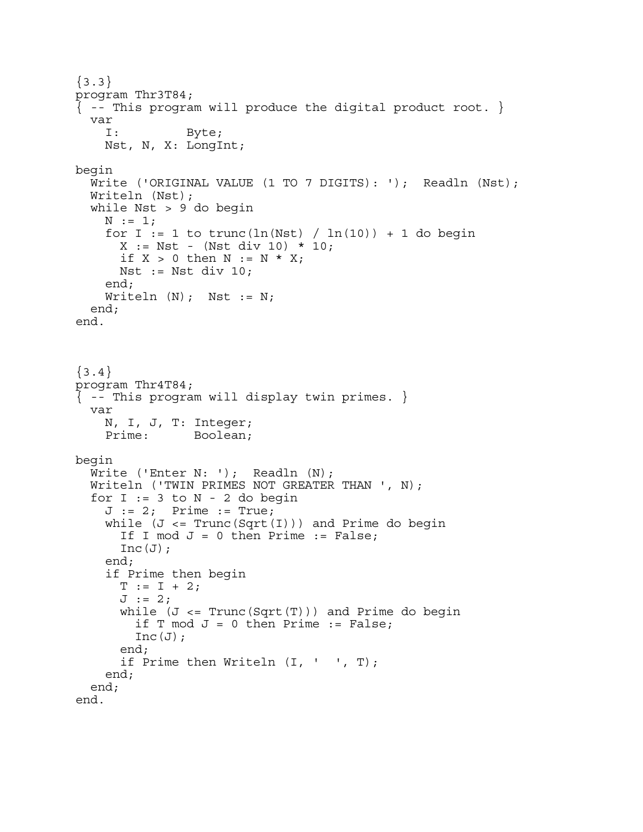```
\{3.3\}program Thr3T84; 
\{ -- This program will produce the digital product root. \} var 
     I: Byte; 
     Nst, N, X: LongInt; 
begin 
   Write ('ORIGINAL VALUE (1 TO 7 DIGITS): '); Readln (Nst); 
   Writeln (Nst); 
   while Nst > 9 do begin 
    N := 1;for I := 1 to trunc(\ln(Nst) / \ln(10)) + 1 do begin
      X := Nst - (Nst div 10) * 10;if X > 0 then N := N * X;
      Nst := Nst div 10;
     end; 
    Writeln (N); Nst := N;
   end; 
end. 
\{3.4\}program Thr4T84; 
\{ - - This program will display twin primes. \} var 
     N, I, J, T: Integer; 
     Prime: Boolean; 
begin 
  Write ('Enter N: '); Readln (N);
   Writeln ('TWIN PRIMES NOT GREATER THAN ', N); 
  for I := 3 to N - 2 do begin
    J := 2; Prime := True;
    while (J \leq Trunc(Sqrt(I))) and Prime do begin
      If I mod J = 0 then Prime := False;
      Inc(J);
     end; 
     if Prime then begin 
      T := I + 2;J := 2;while (J \leq Trunc(Sqrt(T))) and Prime do begin
        if T mod J = 0 then Prime := False;
        Inc(J);
       end; 
       if Prime then Writeln (I, ' ', T); 
     end; 
   end; 
end.
```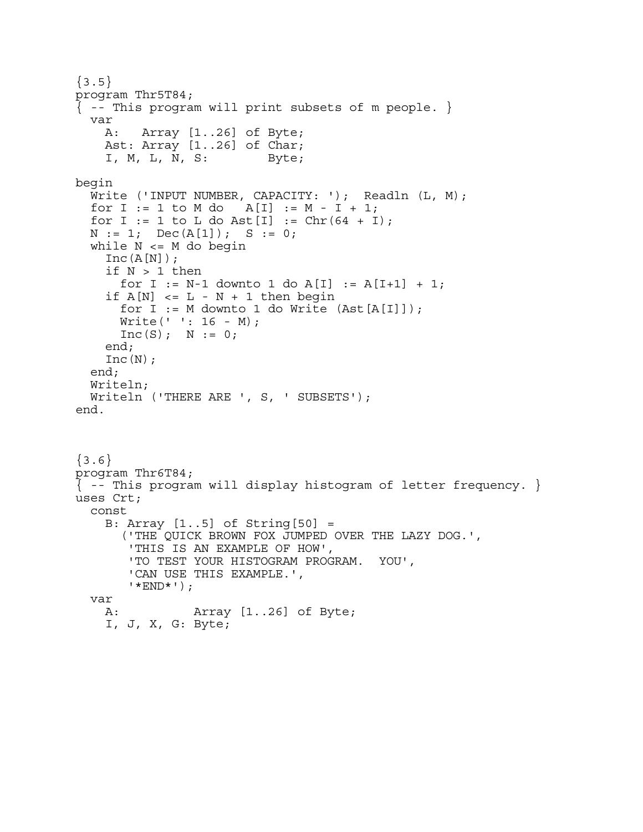```
\{3.5\}program Thr5T84; 
\{ -- This program will print subsets of m people. \} var 
     A: Array [1..26] of Byte; 
     Ast: Array [1..26] of Char; 
     I, M, L, N, S: Byte; 
begin 
  Write ('INPUT NUMBER, CAPACITY: '); Readln (L, M);
  for I := 1 to M do A[I] := M - I + 1;
  for I := 1 to L do Ast[I] := Chr(64 + I);N := 1; Dec(A[1]); S := 0; while N <= M do begin 
    Inc(A[N]);
     if N > 1 then 
      for I := N-1 downto 1 do A[I] := A[I+1] + 1;
    if A[N] \leq L - N + 1 then begin
      for I := M downto 1 do Write (Ast[A[I]]);
       Write(' ': 16 - M); 
      Inc(S); N := 0; end; 
    Inc(N); end; 
   Writeln; 
   Writeln ('THERE ARE ', S, ' SUBSETS'); 
end. 
\{3.6\}program Thr6T84; 
\{ - - This program will display histogram of letter frequency. \}uses Crt; 
   const 
     B: Array [1..5] of String[50] = 
       ('THE QUICK BROWN FOX JUMPED OVER THE LAZY DOG.', 
        'THIS IS AN EXAMPLE OF HOW', 
        'TO TEST YOUR HISTOGRAM PROGRAM. YOU', 
        'CAN USE THIS EXAMPLE.', 
        '*END*'); 
   var 
    A: Array [1..26] of Byte; 
     I, J, X, G: Byte;
```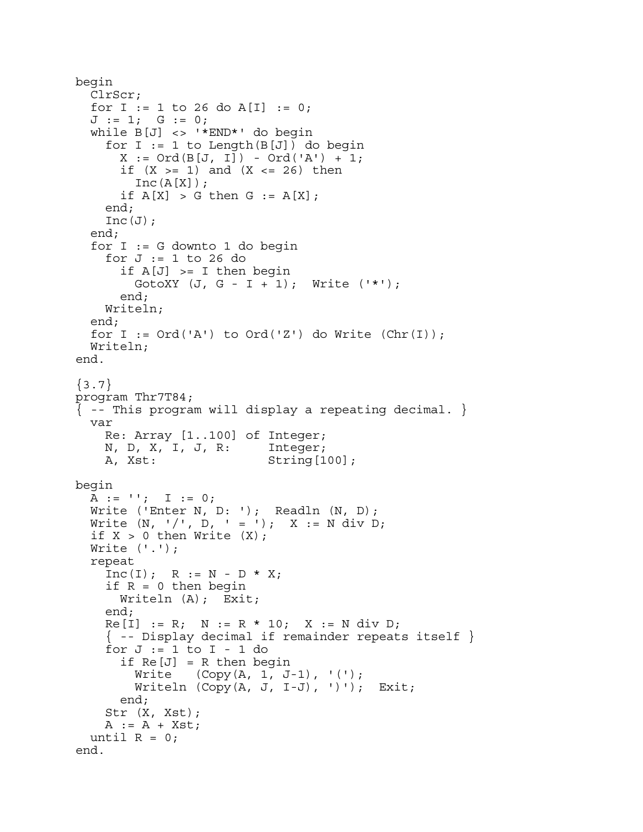```
begin 
   ClrScr; 
  for I := 1 to 26 do A[I] := 0;
  J := 1; G := 0; while B[J] <> '*END*' do begin 
    for I := 1 to Length(B[J]) do begin
      X := Ord(B[J, I]) - Ord('A') + 1;if (X \gt= 1) and (X \lt= 26) then
        Inc(A[X]);
      if A[X] > G then G := A[X];
     end; 
    Inc(J);
   end; 
  for I := G downto 1 do begin
    for J := 1 to 26 do
      if A[J] \geq I then begin
        GotoXY (J, G - I + 1); Write ('*);
       end; 
     Writeln; 
   end; 
  for I := Ord('A') to Ord('Z') do Write (Chr(I));
   Writeln; 
end. 
\{3.7\}program Thr7T84; 
{ -- This program will display a repeating decimal. } 
   var 
     Re: Array [1..100] of Integer; 
     N, D, X, I, J, R: Integer; 
     A, Xst: String[100]; 
begin 
  A := '': I := 0;Write ('Enter N, D: '); Readln (N, D);
  Write (N, ' / ', D, ' = '); X := N div D;if X > 0 then Write (X);
   Write ('.'); 
   repeat 
    Inc(I); R := N - D * X;if R = 0 then begin
       Writeln (A); Exit; 
     end; 
    Re[I] := R; N := R * 10; X := N div D;
    \{ - - Display decimal if remainder repeats itself \}for J := 1 to I - 1 do
      if Re[J] = R then begin
        Write (Copy(A, 1, J-1), '(');Writeln (Copy(A, J, I-J), '); Exit;
       end; 
     Str (X, Xst); 
    A := A + Xst;until R = 0;
end.
```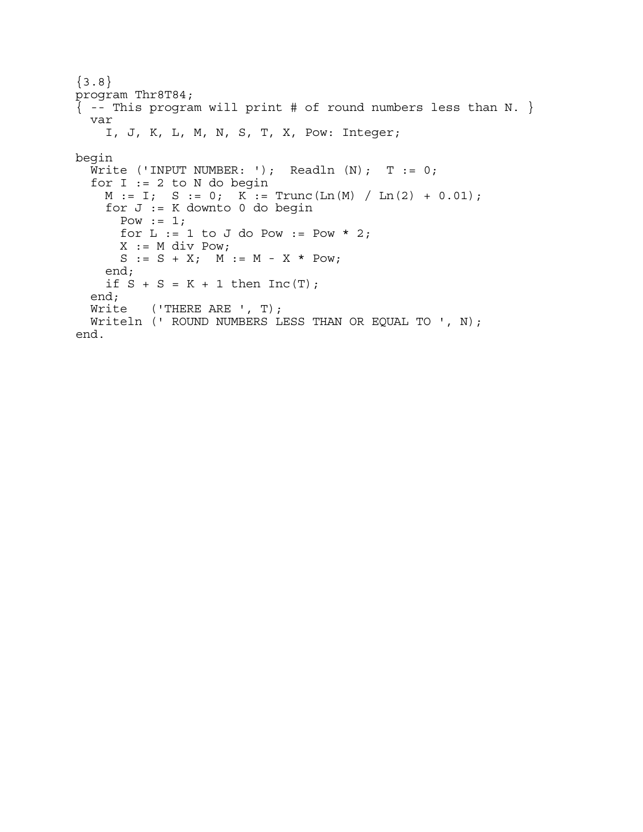```
{3.8}program Thr8T84; 
\{ - - This program will print # of round numbers less than N. \} var 
     I, J, K, L, M, N, S, T, X, Pow: Integer; 
begin 
  Write ('INPUT NUMBER: '); Readln (N); T := 0;
  for I := 2 to N do begin
   M := I; S := 0; K := Trunc(Ln(M) / Ln(2) + 0.01);
     for J := K downto 0 do begin 
      Pow := 1;for L := 1 to J do Pow := Pow * 2;
      X := M div Pow;
      S := S + X; M := M - X * Pow; end; 
    if S + S = K + 1 then Inc(T);
   end; 
   Write ('THERE ARE ', T); 
   Writeln (' ROUND NUMBERS LESS THAN OR EQUAL TO ', N); 
end.
```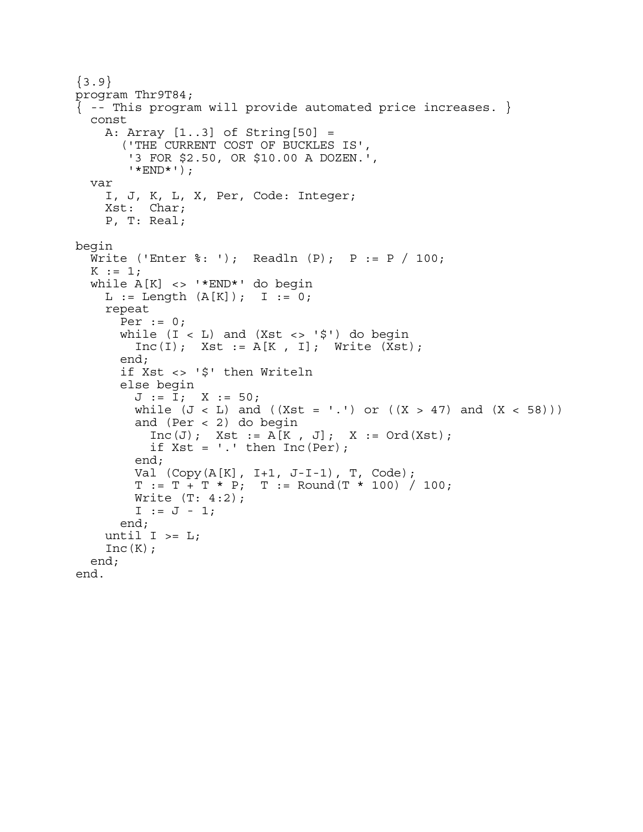```
{3.9}program Thr9T84; 
\{ -- This program will provide automated price increases. \} const 
     A: Array [1..3] of String[50] = 
       ('THE CURRENT COST OF BUCKLES IS', 
        '3 FOR $2.50, OR $10.00 A DOZEN.', 
         '*END*'); 
   var 
     I, J, K, L, X, Per, Code: Integer; 
     Xst: Char; 
     P, T: Real; 
begin 
  Write ('Enter \frac{1}{2}: '); Readln (P); P := P / 100;
  K := 1; while A[K] <> '*END*' do begin 
    L := Length (A[K]); I := 0;
     repeat 
      Per := 0;while (I < L) and (Xst < > '$') do begin
         Inc(I); Xst := A[K, I]; Write (Xst); end; 
       if Xst <> '$' then Writeln 
       else begin 
        J := I; X := 50;while (J < L) and ((Xst = '.'') or ((X > 47) and (X < 58))) and (Per < 2) do begin 
          Inc(J); Xst := A[K, J]; X := Ord(Xst);if Xst = '.' then Inc(Per); end; 
         Val (Copy(A[K], I+1, J-I-1), T, Code); 
        T := T + T * P; T := Round(T * 100) / 100;<br>Write (T: 4:2);I := J - 1; end; 
    until I \geq I;
    Inc(K);
   end; 
end.
```